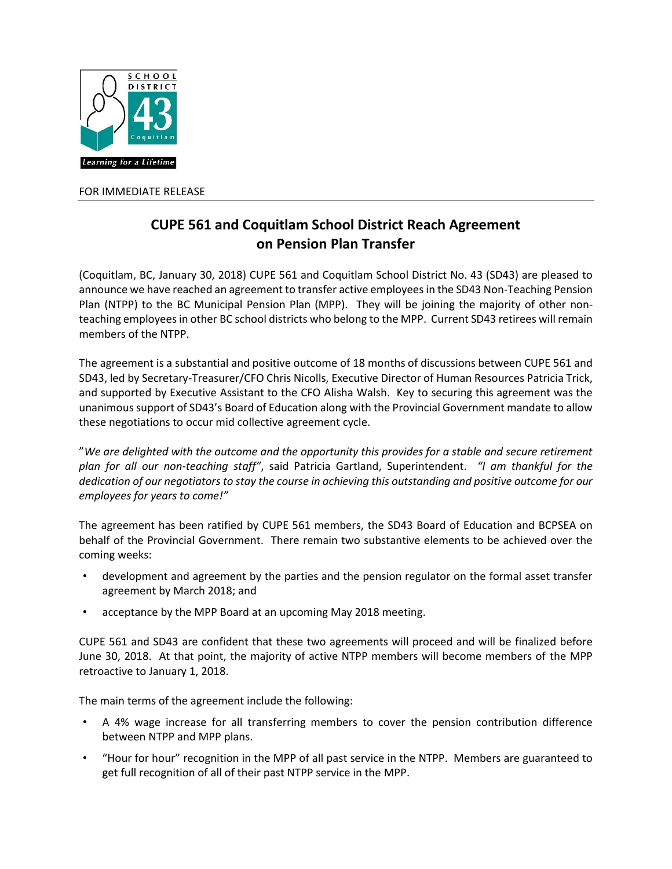

FOR IMMEDIATE RELEASE

## **CUPE 561 and Coquitlam School District Reach Agreement on Pension Plan Transfer**

(Coquitlam, BC, January 30, 2018) CUPE 561 and Coquitlam School District No. 43 (SD43) are pleased to announce we have reached an agreement to transfer active employees in the SD43 Non-Teaching Pension Plan (NTPP) to the BC Municipal Pension Plan (MPP). They will be joining the majority of other nonteaching employees in other BC school districts who belong to the MPP. Current SD43 retirees will remain members of the NTPP.

The agreement is a substantial and positive outcome of 18 months of discussions between CUPE 561 and SD43, led by Secretary-Treasurer/CFO Chris Nicolls, Executive Director of Human Resources Patricia Trick, and supported by Executive Assistant to the CFO Alisha Walsh. Key to securing this agreement was the unanimous support of SD43's Board of Education along with the Provincial Government mandate to allow these negotiations to occur mid collective agreement cycle.

"*We are delighted with the outcome and the opportunity this provides for a stable and secure retirement plan for all our non-teaching staff"*, said Patricia Gartland, Superintendent. *"I am thankful for the dedication of our negotiators to stay the course in achieving this outstanding and positive outcome for our employees for years to come!"*

The agreement has been ratified by CUPE 561 members, the SD43 Board of Education and BCPSEA on behalf of the Provincial Government. There remain two substantive elements to be achieved over the coming weeks:

- development and agreement by the parties and the pension regulator on the formal asset transfer agreement by March 2018; and
- acceptance by the MPP Board at an upcoming May 2018 meeting.

CUPE 561 and SD43 are confident that these two agreements will proceed and will be finalized before June 30, 2018. At that point, the majority of active NTPP members will become members of the MPP retroactive to January 1, 2018.

The main terms of the agreement include the following:

- A 4% wage increase for all transferring members to cover the pension contribution difference between NTPP and MPP plans.
- "Hour for hour" recognition in the MPP of all past service in the NTPP. Members are guaranteed to get full recognition of all of their past NTPP service in the MPP.